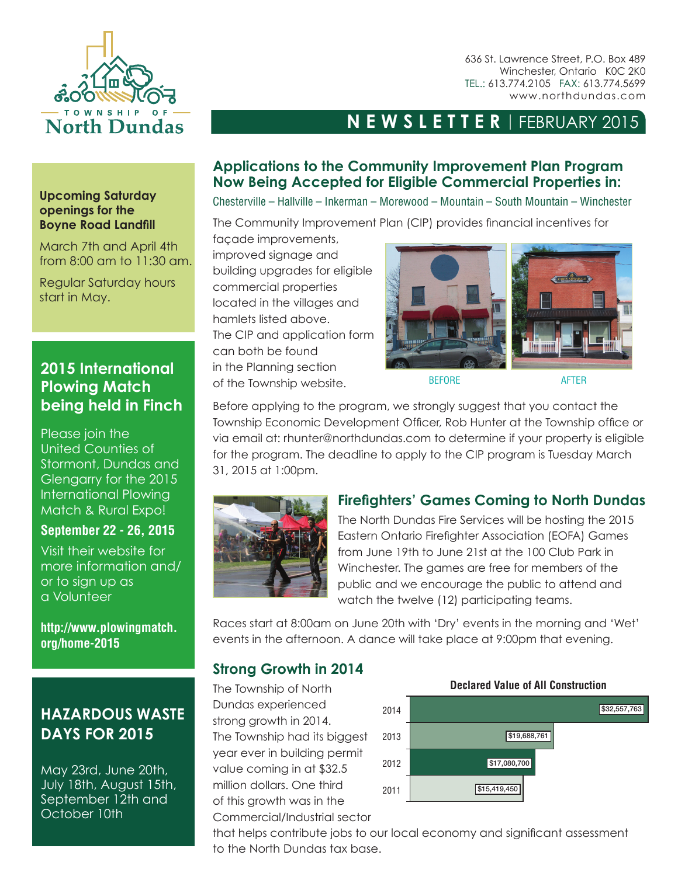

636 St. Lawrence Street, P.O. Box 489 Winchester, Ontario K0C 2K0 TEL.: 613.774.2105 FAX: 613.774.5699 www.northdundas.com

# **NEWSLETTER** | FEBRUARY 2015

## **Applications to the Community Improvement Plan Program Now Being Accepted for Eligible Commercial Properties in:**

Chesterville – Hallville – Inkerman – Morewood – Mountain – South Mountain – Winchester

The Community Improvement Plan (CIP) provides financial incentives for

façade improvements, improved signage and building upgrades for eligible commercial properties located in the villages and hamlets listed above. The CIP and application form can both be found in the Planning section of the Township website. BEFORE BEFORE



Before applying to the program, we strongly suggest that you contact the Township Economic Development Officer, Rob Hunter at the Township office or via email at: rhunter@northdundas.com to determine if your property is eligible for the program. The deadline to apply to the CIP program is Tuesday March 31, 2015 at 1:00pm.



## **Firefighters' Games Coming to North Dundas**

The North Dundas Fire Services will be hosting the 2015 Eastern Ontario Firefighter Association (EOFA) Games from June 19th to June 21st at the 100 Club Park in Winchester. The games are free for members of the public and we encourage the public to attend and watch the twelve (12) participating teams.

Races start at 8:00am on June 20th with 'Dry' events in the morning and 'Wet' events in the afternoon. A dance will take place at 9:00pm that evening.

### **Strong Growth in 2014**

The Township of North Dundas experienced strong growth in 2014. The Township had its biggest year ever in building permit value coming in at \$32.5 million dollars. One third of this growth was in the Commercial/Industrial sector



that helps contribute jobs to our local economy and significant assessment to the North Dundas tax base.

#### **Upcoming Saturday openings for the Boyne Road Landfill**

March 7th and April 4th from 8:00 am to 11:30 am.

Regular Saturday hours start in May.

## **2015 International Plowing Match being held in Finch**

Please join the United Counties of Stormont, Dundas and Glengarry for the 2015 International Plowing Match & Rural Expo!

### **September 22 - 26, 2015**

Visit their website for more information and/ or to sign up as a Volunteer

**http://www.plowingmatch. org/home-2015**

# **HAZARDOUS WASTE DAYS FOR 2015**

May 23rd, June 20th, July 18th, August 15th, September 12th and October 10th